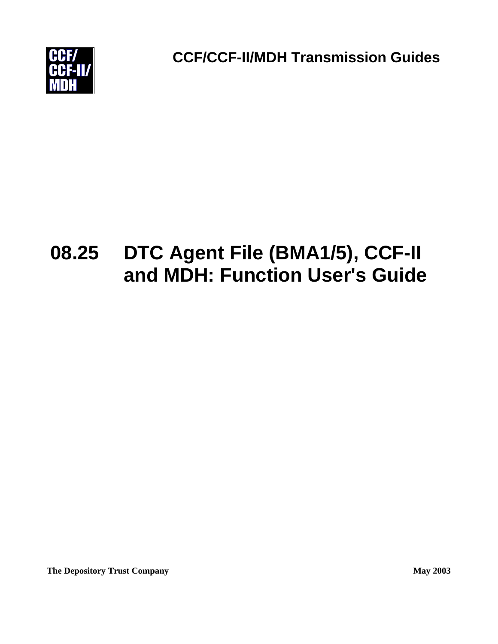

**CCF/CCF-II/MDH Transmission Guides**

# **08.25 DTC Agent File (BMA1/5), CCF-II and MDH: Function User's Guide**

**The Depository Trust Company May 2003**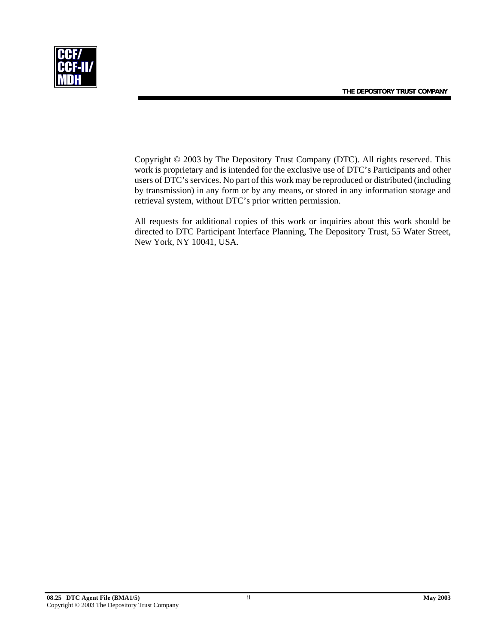**THE DEPOSITORY TRUST COMPANY** 



Copyright © 2003 by The Depository Trust Company (DTC). All rights reserved. This work is proprietary and is intended for the exclusive use of DTC's Participants and other users of DTC's services. No part of this work may be reproduced or distributed (including by transmission) in any form or by any means, or stored in any information storage and retrieval system, without DTC's prior written permission.

All requests for additional copies of this work or inquiries about this work should be directed to DTC Participant Interface Planning, The Depository Trust, 55 Water Street, New York, NY 10041, USA.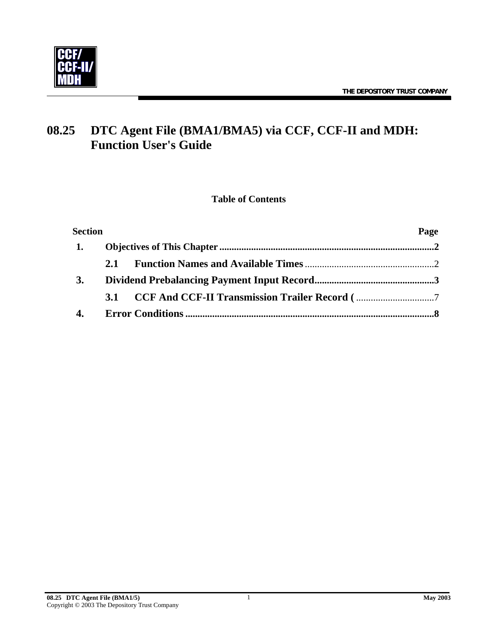

# **08.25 DTC Agent File (BMA1/BMA5) via CCF, CCF-II and MDH: Function User's Guide**

#### **Table of Contents**

| <b>Section</b> |     | Page |
|----------------|-----|------|
| 1.             |     |      |
|                | 2.1 |      |
| 3.             |     |      |
|                |     |      |
| 4.             |     |      |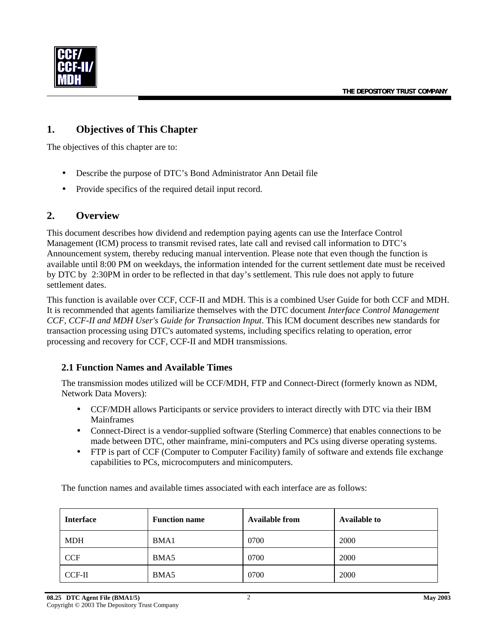<span id="page-3-0"></span>

#### **1. Objectives of This Chapter**

The objectives of this chapter are to:

- Describe the purpose of DTC's Bond Administrator Ann Detail file
- Provide specifics of the required detail input record.

#### **2. Overview**

This document describes how dividend and redemption paying agents can use the Interface Control Management (ICM) process to transmit revised rates, late call and revised call information to DTC's Announcement system, thereby reducing manual intervention. Please note that even though the function is available until 8:00 PM on weekdays, the information intended for the current settlement date must be received by DTC by 2:30PM in order to be reflected in that day's settlement. This rule does not apply to future settlement dates.

This function is available over CCF, CCF-II and MDH. This is a combined User Guide for both CCF and MDH. It is recommended that agents familiarize themselves with the DTC document *Interface Control Management CCF, CCF-II and MDH User's Guide for Transaction Input*. This ICM document describes new standards for transaction processing using DTC's automated systems, including specifics relating to operation, error processing and recovery for CCF, CCF-II and MDH transmissions.

#### **2.1 Function Names and Available Times**

The transmission modes utilized will be CCF/MDH, FTP and Connect-Direct (formerly known as NDM, Network Data Movers):

- CCF/MDH allows Participants or service providers to interact directly with DTC via their IBM Mainframes
- Connect-Direct is a vendor-supplied software (Sterling Commerce) that enables connections to be made between DTC, other mainframe, mini-computers and PCs using diverse operating systems.
- FTP is part of CCF (Computer to Computer Facility) family of software and extends file exchange capabilities to PCs, microcomputers and minicomputers.

The function names and available times associated with each interface are as follows:

| <b>Interface</b> | <b>Function name</b> | Available from | <b>Available to</b> |
|------------------|----------------------|----------------|---------------------|
| <b>MDH</b>       | BMA1                 | 0700           | 2000                |
| <b>CCF</b>       | BMA5                 | 0700           | 2000                |
| $CCF-II$         | BMA5                 | 0700           | 2000                |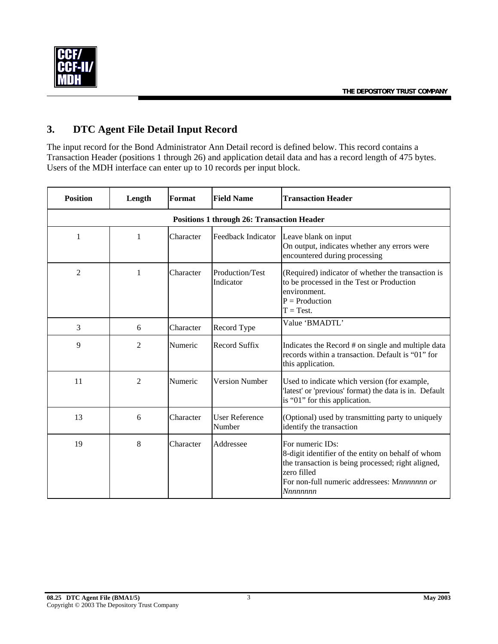<span id="page-4-0"></span>

## **3. DTC Agent File Detail Input Record**

The input record for the Bond Administrator Ann Detail record is defined below. This record contains a Transaction Header (positions 1 through 26) and application detail data and has a record length of 475 bytes. Users of the MDH interface can enter up to 10 records per input block.

| <b>Position</b>                                   | Length         | Format    | <b>Field Name</b>               | <b>Transaction Header</b>                                                                                                                                                                              |  |  |  |
|---------------------------------------------------|----------------|-----------|---------------------------------|--------------------------------------------------------------------------------------------------------------------------------------------------------------------------------------------------------|--|--|--|
| <b>Positions 1 through 26: Transaction Header</b> |                |           |                                 |                                                                                                                                                                                                        |  |  |  |
| 1                                                 | 1              | Character | Feedback Indicator              | Leave blank on input<br>On output, indicates whether any errors were<br>encountered during processing                                                                                                  |  |  |  |
| $\overline{c}$                                    | 1              | Character | Production/Test<br>Indicator    | (Required) indicator of whether the transaction is<br>to be processed in the Test or Production<br>environment.<br>$P =$ Production<br>$T = Test$ .                                                    |  |  |  |
| 3                                                 | 6              | Character | Record Type                     | Value 'BMADTL'                                                                                                                                                                                         |  |  |  |
| 9                                                 | 2              | Numeric   | Record Suffix                   | Indicates the Record # on single and multiple data<br>records within a transaction. Default is "01" for<br>this application.                                                                           |  |  |  |
| 11                                                | $\overline{2}$ | Numeric   | <b>Version Number</b>           | Used to indicate which version (for example,<br>'latest' or 'previous' format) the data is in. Default<br>is "01" for this application.                                                                |  |  |  |
| 13                                                | 6              | Character | <b>User Reference</b><br>Number | (Optional) used by transmitting party to uniquely<br>identify the transaction                                                                                                                          |  |  |  |
| 19                                                | 8              | Character | Addressee                       | For numeric IDs:<br>8-digit identifier of the entity on behalf of whom<br>the transaction is being processed; right aligned,<br>zero filled<br>For non-full numeric addressees: Mnnnnnnn or<br>Nnnnnnn |  |  |  |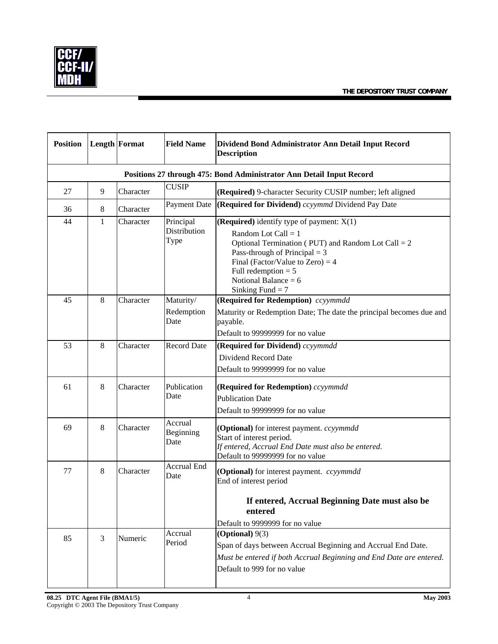

| <b>Position</b>                                                      |              | <b>Length Format</b> | <b>Field Name</b>                 | Dividend Bond Administrator Ann Detail Input Record<br><b>Description</b>                                                                                                                                                                                                      |  |  |
|----------------------------------------------------------------------|--------------|----------------------|-----------------------------------|--------------------------------------------------------------------------------------------------------------------------------------------------------------------------------------------------------------------------------------------------------------------------------|--|--|
| Positions 27 through 475: Bond Administrator Ann Detail Input Record |              |                      |                                   |                                                                                                                                                                                                                                                                                |  |  |
| 27                                                                   | 9            | Character            | <b>CUSIP</b>                      | (Required) 9-character Security CUSIP number; left aligned                                                                                                                                                                                                                     |  |  |
| 36                                                                   | $\,8\,$      | Character            | Payment Date                      | <b>(Required for Dividend)</b> ccyymmd Dividend Pay Date                                                                                                                                                                                                                       |  |  |
| 44                                                                   | $\mathbf{1}$ | Character            | Principal<br>Distribution<br>Type | (Required) identify type of payment: $X(1)$<br>Random Lot Call = $1$<br>Optional Termination (PUT) and Random Lot Call = $2$<br>Pass-through of Principal $= 3$<br>Final (Factor/Value to Zero) = $4$<br>Full redemption $= 5$<br>Notional Balance = $6$<br>Sinking Fund $= 7$ |  |  |
| 45                                                                   | 8            | Character            | Maturity/<br>Redemption<br>Date   | (Required for Redemption) ccyymmdd<br>Maturity or Redemption Date; The date the principal becomes due and<br>payable.<br>Default to 99999999 for no value                                                                                                                      |  |  |
| 53                                                                   | 8            | Character            | Record Date                       | (Required for Dividend) ccyymmdd<br>Dividend Record Date<br>Default to 99999999 for no value                                                                                                                                                                                   |  |  |
| 61                                                                   | $\,8\,$      | Character            | Publication<br>Date               | (Required for Redemption) ccyymmdd<br><b>Publication Date</b><br>Default to 99999999 for no value                                                                                                                                                                              |  |  |
| 69                                                                   | 8            | Character            | Accrual<br>Beginning<br>Date      | (Optional) for interest payment. ccyymmdd<br>Start of interest period.<br>If entered, Accrual End Date must also be entered.<br>Default to 99999999 for no value                                                                                                               |  |  |
| 77                                                                   | 8            | Character            | <b>Accrual End</b><br>Date        | (Optional) for interest payment. ccyymmdd<br>End of interest period<br>If entered, Accrual Beginning Date must also be<br>entered<br>Default to 9999999 for no value                                                                                                           |  |  |
| 85                                                                   | 3            | Numeric              | Accrual<br>Period                 | (Optional) $9(3)$<br>Span of days between Accrual Beginning and Accrual End Date.<br>Must be entered if both Accrual Beginning and End Date are entered.<br>Default to 999 for no value                                                                                        |  |  |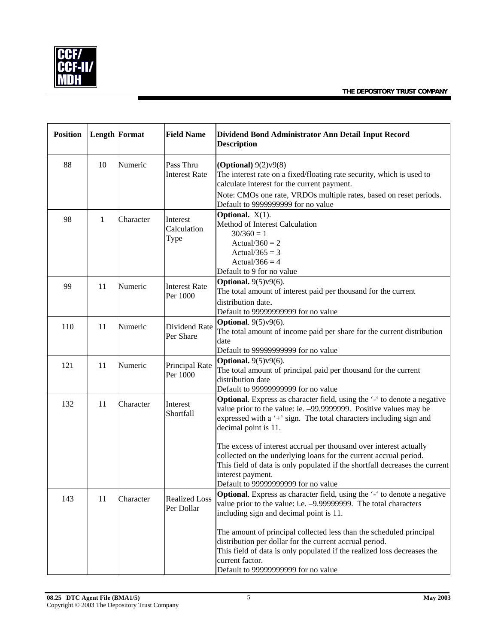

| <b>Position</b> |    | <b>Length Format</b> | <b>Field Name</b>                  | Dividend Bond Administrator Ann Detail Input Record<br><b>Description</b>                                                                                                                                                                                                                                                                                                                                                                                                                                                         |  |
|-----------------|----|----------------------|------------------------------------|-----------------------------------------------------------------------------------------------------------------------------------------------------------------------------------------------------------------------------------------------------------------------------------------------------------------------------------------------------------------------------------------------------------------------------------------------------------------------------------------------------------------------------------|--|
| 88              | 10 | Numeric              | Pass Thru<br><b>Interest Rate</b>  | (Optional) $9(2)v9(8)$<br>The interest rate on a fixed/floating rate security, which is used to<br>calculate interest for the current payment.<br>Note: CMOs one rate, VRDOs multiple rates, based on reset periods.<br>Default to 9999999999 for no value                                                                                                                                                                                                                                                                        |  |
| 98              | 1  | Character            | Interest<br>Calculation<br>Type    | Optional. $X(1)$ .<br>Method of Interest Calculation<br>$30/360 = 1$<br>Actual/360 = $2$<br>Actual/365 = $3$<br>Actual/366 = $4$<br>Default to 9 for no value                                                                                                                                                                                                                                                                                                                                                                     |  |
| 99              | 11 | Numeric              | <b>Interest Rate</b><br>Per 1000   | <b>Optional.</b> 9(5)v9(6).<br>The total amount of interest paid per thousand for the current<br>distribution date.<br>Default to 99999999999 for no value                                                                                                                                                                                                                                                                                                                                                                        |  |
| 110             | 11 | Numeric              | Dividend Rate<br>Per Share         | Optional. $9(5)y9(6)$ .<br>The total amount of income paid per share for the current distribution<br>date<br>Default to 99999999999 for no value                                                                                                                                                                                                                                                                                                                                                                                  |  |
| 121             | 11 | Numeric              | Principal Rate<br>Per 1000         | Optional. $9(5)y9(6)$ .<br>The total amount of principal paid per thousand for the current<br>distribution date<br>Default to 99999999999 for no value                                                                                                                                                                                                                                                                                                                                                                            |  |
| 132             | 11 | Character            | Interest<br>Shortfall              | Optional. Express as character field, using the '-' to denote a negative<br>value prior to the value: ie. -99.9999999. Positive values may be<br>expressed with a '+' sign. The total characters including sign and<br>decimal point is 11.<br>The excess of interest accrual per thousand over interest actually<br>collected on the underlying loans for the current accrual period.<br>This field of data is only populated if the shortfall decreases the current<br>interest payment.<br>Default to 99999999999 for no value |  |
| 143             | 11 | Character            | <b>Realized Loss</b><br>Per Dollar | <b>Optional.</b> Express as character field, using the '-' to denote a negative<br>value prior to the value: i.e. -9.99999999. The total characters<br>including sign and decimal point is 11.<br>The amount of principal collected less than the scheduled principal<br>distribution per dollar for the current accrual period.<br>This field of data is only populated if the realized loss decreases the<br>current factor.<br>Default to 99999999999 for no value                                                             |  |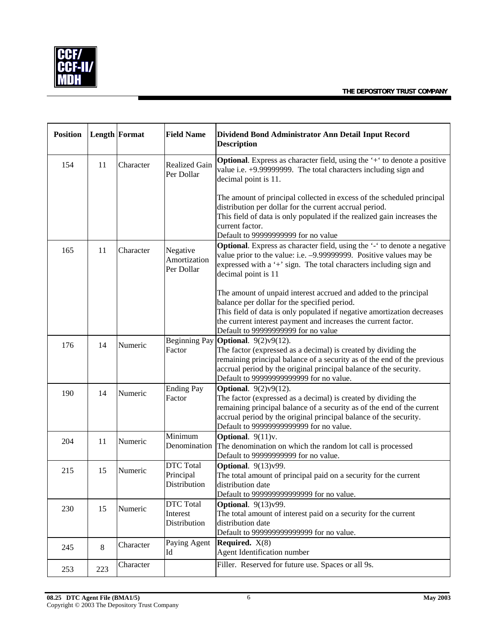

| <b>Position</b> |     | <b>Length Format</b> | <b>Field Name</b>                             | Dividend Bond Administrator Ann Detail Input Record<br><b>Description</b>                                                                                                                                                                                                                                   |  |
|-----------------|-----|----------------------|-----------------------------------------------|-------------------------------------------------------------------------------------------------------------------------------------------------------------------------------------------------------------------------------------------------------------------------------------------------------------|--|
| 154             | 11  | Character            | Realized Gain<br>Per Dollar                   | Optional. Express as character field, using the '+' to denote a positive<br>value i.e. +9.99999999. The total characters including sign and<br>decimal point is 11.                                                                                                                                         |  |
|                 |     |                      |                                               | The amount of principal collected in excess of the scheduled principal<br>distribution per dollar for the current accrual period.<br>This field of data is only populated if the realized gain increases the<br>current factor.<br>Default to 99999999999 for no value                                      |  |
| 165             | 11  | Character            | Negative<br>Amortization<br>Per Dollar        | Optional. Express as character field, using the '-' to denote a negative<br>value prior to the value: i.e. -9.99999999. Positive values may be<br>expressed with a '+' sign. The total characters including sign and<br>decimal point is 11                                                                 |  |
|                 |     |                      |                                               | The amount of unpaid interest accrued and added to the principal<br>balance per dollar for the specified period.<br>This field of data is only populated if negative amortization decreases<br>the current interest payment and increases the current factor.<br>Default to 99999999999 for no value        |  |
| 176             | 14  | Numeric              | Factor                                        | Beginning Pay <b>Optional</b> . $9(2)v9(12)$ .<br>The factor (expressed as a decimal) is created by dividing the<br>remaining principal balance of a security as of the end of the previous<br>accrual period by the original principal balance of the security.<br>Default to 99999999999999 for no value. |  |
| 190             | 14  | Numeric              | <b>Ending Pay</b><br>Factor                   | <b>Optional.</b> 9(2)v9(12).<br>The factor (expressed as a decimal) is created by dividing the<br>remaining principal balance of a security as of the end of the current<br>accrual period by the original principal balance of the security.<br>Default to 99999999999999 for no value.                    |  |
| 204             | 11  | Numeric              | Minimum<br>Denomination                       | Optional. 9(11)v.<br>The denomination on which the random lot call is processed<br>Default to 99999999999 for no value.                                                                                                                                                                                     |  |
| 215             | 15  | Numeric              | <b>DTC</b> Total<br>Principal<br>Distribution | <b>Optional.</b> 9(13)v99.<br>The total amount of principal paid on a security for the current<br>distribution date<br>Default to 999999999999999 for no value.                                                                                                                                             |  |
| 230             | 15  | Numeric              | <b>DTC</b> Total<br>Interest<br>Distribution  | <b>Optional.</b> 9(13)v99.<br>The total amount of interest paid on a security for the current<br>distribution date<br>Default to 999999999999999 for no value.                                                                                                                                              |  |
| 245             | 8   | Character            | Paying Agent<br>Id                            | <b>Required.</b> $X(8)$<br>Agent Identification number                                                                                                                                                                                                                                                      |  |
| 253             | 223 | Character            |                                               | Filler. Reserved for future use. Spaces or all 9s.                                                                                                                                                                                                                                                          |  |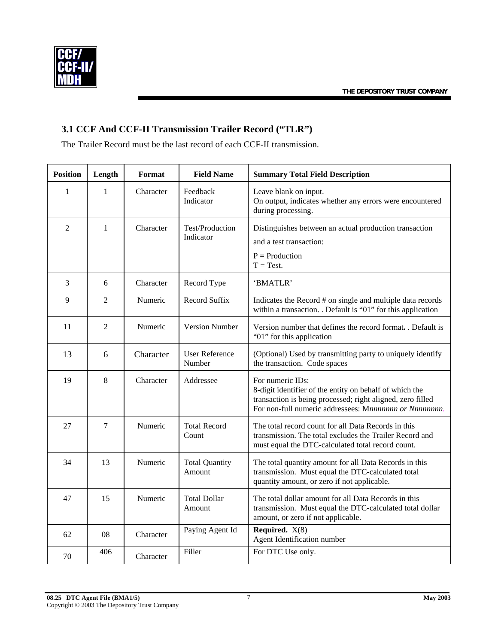<span id="page-8-0"></span>

## **3.1 CCF And CCF-II Transmission Trailer Record ("TLR")**

The Trailer Record must be the last record of each CCF-II transmission.

| <b>Position</b> | Length         | Format    | <b>Field Name</b>               | <b>Summary Total Field Description</b>                                                                                                                                                              |
|-----------------|----------------|-----------|---------------------------------|-----------------------------------------------------------------------------------------------------------------------------------------------------------------------------------------------------|
| 1               | 1              | Character | Feedback<br>Indicator           | Leave blank on input.<br>On output, indicates whether any errors were encountered<br>during processing.                                                                                             |
| $\overline{2}$  | $\mathbf{1}$   | Character | Test/Production<br>Indicator    | Distinguishes between an actual production transaction<br>and a test transaction:                                                                                                                   |
|                 |                |           |                                 | $P =$ Production<br>$T = Test$ .                                                                                                                                                                    |
| 3               | 6              | Character | Record Type                     | 'BMATLR'                                                                                                                                                                                            |
| 9               | $\overline{2}$ | Numeric   | <b>Record Suffix</b>            | Indicates the Record # on single and multiple data records<br>within a transaction. . Default is "01" for this application                                                                          |
| 11              | $\overline{2}$ | Numeric   | <b>Version Number</b>           | Version number that defines the record format. . Default is<br>"01" for this application                                                                                                            |
| 13              | 6              | Character | <b>User Reference</b><br>Number | (Optional) Used by transmitting party to uniquely identify<br>the transaction. Code spaces                                                                                                          |
| 19              | 8              | Character | Addressee                       | For numeric IDs:<br>8-digit identifier of the entity on behalf of which the<br>transaction is being processed; right aligned, zero filled<br>For non-full numeric addressees: Mnnnnnnn or Nnnnnnnn. |
| 27              | 7              | Numeric   | <b>Total Record</b><br>Count    | The total record count for all Data Records in this<br>transmission. The total excludes the Trailer Record and<br>must equal the DTC-calculated total record count.                                 |
| 34              | 13             | Numeric   | <b>Total Quantity</b><br>Amount | The total quantity amount for all Data Records in this<br>transmission. Must equal the DTC-calculated total<br>quantity amount, or zero if not applicable.                                          |
| 47              | 15             | Numeric   | <b>Total Dollar</b><br>Amount   | The total dollar amount for all Data Records in this<br>transmission. Must equal the DTC-calculated total dollar<br>amount, or zero if not applicable.                                              |
| 62              | 08             | Character | Paying Agent Id                 | Required. $X(8)$<br>Agent Identification number                                                                                                                                                     |
| 70              | 406            | Character | Filler                          | For DTC Use only.                                                                                                                                                                                   |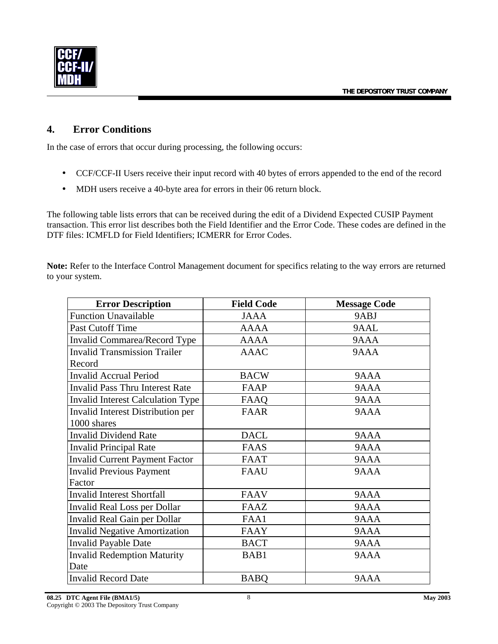<span id="page-9-0"></span>

#### **4. Error Conditions**

In the case of errors that occur during processing, the following occurs:

- CCF/CCF-II Users receive their input record with 40 bytes of errors appended to the end of the record
- MDH users receive a 40-byte area for errors in their 06 return block.

The following table lists errors that can be received during the edit of a Dividend Expected CUSIP Payment transaction. This error list describes both the Field Identifier and the Error Code. These codes are defined in the DTF files: ICMFLD for Field Identifiers; ICMERR for Error Codes.

**Note:** Refer to the Interface Control Management document for specifics relating to the way errors are returned to your system.

| <b>Error Description</b>                 | <b>Field Code</b> | <b>Message Code</b> |
|------------------------------------------|-------------------|---------------------|
| <b>Function Unavailable</b>              | <b>JAAA</b>       | 9ABJ                |
| Past Cutoff Time                         | <b>AAAA</b>       | 9AAL                |
| Invalid Commarea/Record Type             | <b>AAAA</b>       | 9AAA                |
| <b>Invalid Transmission Trailer</b>      | <b>AAAC</b>       | 9AAA                |
| Record                                   |                   |                     |
| <b>Invalid Accrual Period</b>            | <b>BACW</b>       | 9AAA                |
| <b>Invalid Pass Thru Interest Rate</b>   | FAAP              | 9AAA                |
| <b>Invalid Interest Calculation Type</b> | FAAQ              | 9AAA                |
| Invalid Interest Distribution per        | <b>FAAR</b>       | 9AAA                |
| 1000 shares                              |                   |                     |
| <b>Invalid Dividend Rate</b>             | <b>DACL</b>       | 9AAA                |
| <b>Invalid Principal Rate</b>            | <b>FAAS</b>       | 9AAA                |
| <b>Invalid Current Payment Factor</b>    | <b>FAAT</b>       | 9AAA                |
| <b>Invalid Previous Payment</b>          | <b>FAAU</b>       | 9AAA                |
| Factor                                   |                   |                     |
| <b>Invalid Interest Shortfall</b>        | <b>FAAV</b>       | 9AAA                |
| Invalid Real Loss per Dollar             | FAAZ              | 9AAA                |
| Invalid Real Gain per Dollar             | FAA1              | 9AAA                |
| <b>Invalid Negative Amortization</b>     | <b>FAAY</b>       | 9AAA                |
| <b>Invalid Payable Date</b>              | <b>BACT</b>       | 9AAA                |
| <b>Invalid Redemption Maturity</b>       | BAB1              | 9AAA                |
| Date                                     |                   |                     |
| <b>Invalid Record Date</b>               | <b>BABQ</b>       | 9AAA                |